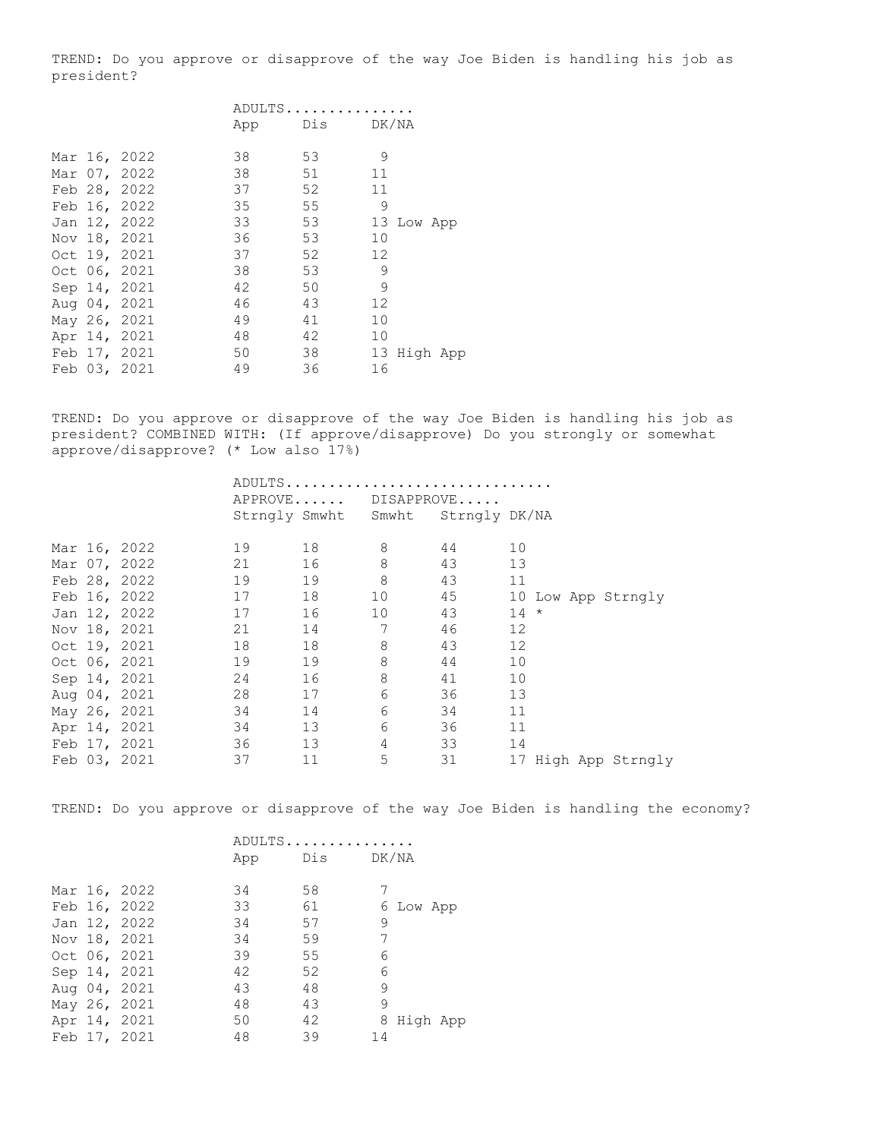TREND: Do you approve or disapprove of the way Joe Biden is handling his job as president?

|  |              | ADULTS |               |                   |            |  |
|--|--------------|--------|---------------|-------------------|------------|--|
|  |              |        | App Dis DK/NA |                   |            |  |
|  | Mar 16, 2022 | 38     | 53            | 9                 |            |  |
|  | Mar 07, 2022 | 38     | 51            | 11                |            |  |
|  | Feb 28, 2022 | 37     | 52            | 11                |            |  |
|  | Feb 16, 2022 | 35     | 55            | 9                 |            |  |
|  | Jan 12, 2022 | 33     | 53            |                   | 13 Low App |  |
|  | Nov 18, 2021 | 36     | 53            | 10                |            |  |
|  | Oct 19, 2021 | 37     | 52            | $12 \overline{ }$ |            |  |
|  | Oct 06, 2021 | 38     | 53            | 9                 |            |  |
|  | Sep 14, 2021 | 42     | 50            | 9                 |            |  |
|  | Aug 04, 2021 | 46     | 43            | 12                |            |  |
|  | May 26, 2021 | 49     | 41            | 10                |            |  |
|  | Apr 14, 2021 | 48     | 42            | 10                |            |  |
|  | Feb 17, 2021 | 50     | 38            | 13                | High App   |  |
|  | Feb 03, 2021 | 49     | 36            | 16                |            |  |

TREND: Do you approve or disapprove of the way Joe Biden is handling his job as president? COMBINED WITH: (If approve/disapprove) Do you strongly or somewhat approve/disapprove? (\* Low also 17%)

|  |              |         |    | ADULTS                            |    |                        |
|--|--------------|---------|----|-----------------------------------|----|------------------------|
|  |              | APPROVE |    | DISAPPROVE                        |    |                        |
|  |              |         |    | Strngly Smwht Smwht Strngly DK/NA |    |                        |
|  |              |         |    |                                   |    |                        |
|  | Mar 16, 2022 | 19      | 18 | 8                                 | 44 | 10                     |
|  | Mar 07, 2022 | 21      | 16 | 8                                 | 43 | 13                     |
|  | Feb 28, 2022 | 19      | 19 | 8                                 | 43 | 11                     |
|  | Feb 16, 2022 | 17      | 18 | 10                                | 45 | 10 Low App Strngly     |
|  | Jan 12, 2022 | 17      | 16 | 10                                | 43 | $14 *$                 |
|  | Nov 18, 2021 | 21      | 14 | 7                                 | 46 | 12                     |
|  | Oct 19, 2021 | 18      | 18 | 8                                 | 43 | 12                     |
|  | Oct 06, 2021 | 19      | 19 | 8                                 | 44 | 10                     |
|  | Sep 14, 2021 | 24      | 16 | 8                                 | 41 | 10                     |
|  | Aug 04, 2021 | 28      | 17 | 6                                 | 36 | 13                     |
|  | May 26, 2021 | 34      | 14 | 6                                 | 34 | 11                     |
|  | Apr 14, 2021 | 34      | 13 | 6                                 | 36 | 11                     |
|  | Feb 17, 2021 | 36      | 13 | 4                                 | 33 | 14                     |
|  | Feb 03, 2021 | 37      | 11 | 5                                 | 31 | 17<br>High App Strngly |

TREND: Do you approve or disapprove of the way Joe Biden is handling the economy?

|  |              |     | ADULTS    |            |
|--|--------------|-----|-----------|------------|
|  |              | App | Dis DK/NA |            |
|  |              |     |           |            |
|  | Mar 16, 2022 | 34  | 58        |            |
|  | Feb 16, 2022 | 33  | 61        | 6 Low App  |
|  | Jan 12, 2022 | 34  | 57        | 9          |
|  | Nov 18, 2021 | 34  | 59        | 7          |
|  | Oct 06, 2021 | 39  | 55        | 6          |
|  | Sep 14, 2021 | 42  | 52        | 6          |
|  | Aug 04, 2021 | 43  | 48        | 9          |
|  | May 26, 2021 | 48  | 43        | 9          |
|  | Apr 14, 2021 | 50  | 42        | 8 High App |
|  | Feb 17, 2021 | 48  | 39        | 14         |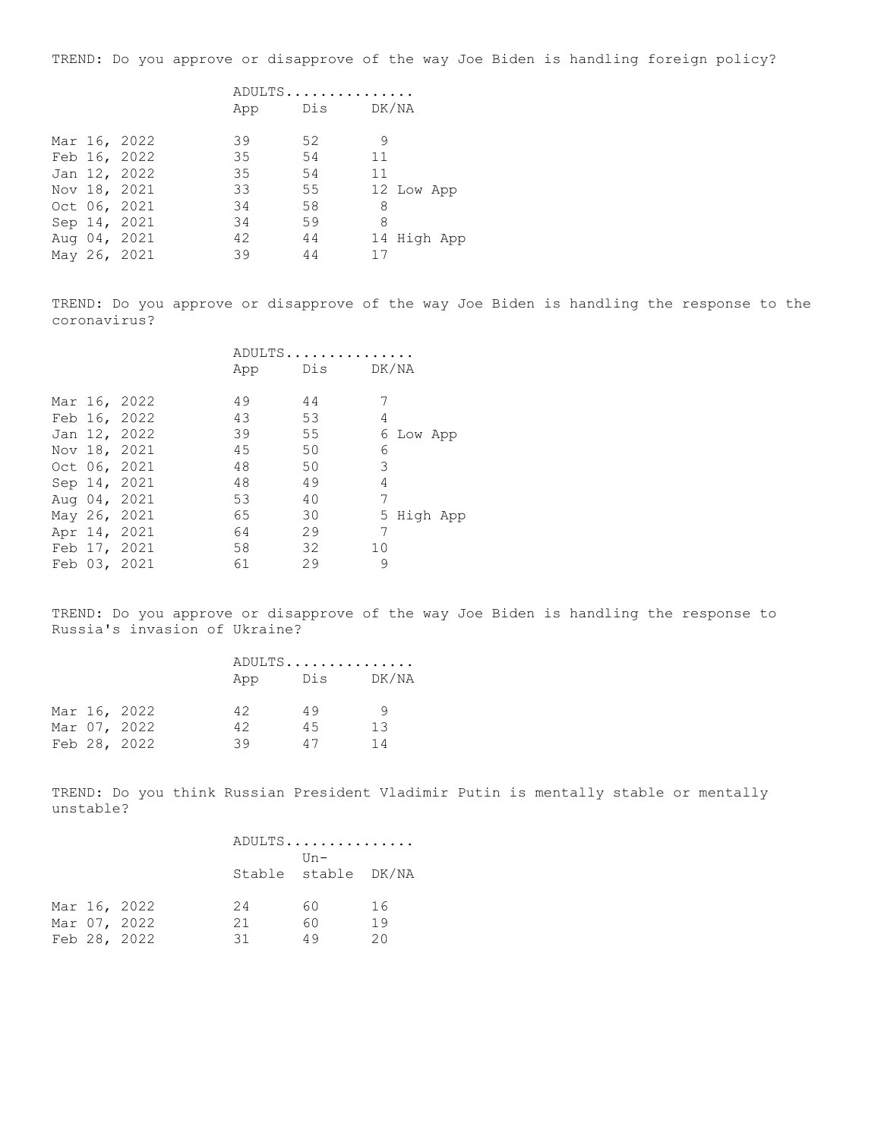TREND: Do you approve or disapprove of the way Joe Biden is handling foreign policy?

|  |              | ADULTS |     |             |  |  |
|--|--------------|--------|-----|-------------|--|--|
|  |              | App    | Dis | DK/NA       |  |  |
|  | Mar 16, 2022 | 39     | 52  | 9           |  |  |
|  | Feb 16, 2022 | 35     | 54  | 11          |  |  |
|  | Jan 12, 2022 | 35     | 54  | 11          |  |  |
|  | Nov 18, 2021 | 33     | 55  | 12 Low App  |  |  |
|  | Oct 06, 2021 | 34     | 58  | 8           |  |  |
|  | Sep 14, 2021 | 34     | 59  | 8           |  |  |
|  | Aug 04, 2021 | 42     | 44  | 14 High App |  |  |
|  | May 26, 2021 | 39     | 44  | 17          |  |  |
|  |              |        |     |             |  |  |

TREND: Do you approve or disapprove of the way Joe Biden is handling the response to the coronavirus?

|  |              | ADULTS |           |    |           |  |
|--|--------------|--------|-----------|----|-----------|--|
|  |              | App    | Dis DK/NA |    |           |  |
|  |              |        |           |    |           |  |
|  | Mar 16, 2022 | 49     | 44        |    |           |  |
|  | Feb 16, 2022 | 43     | 53        | 4  |           |  |
|  | Jan 12, 2022 | 39     | 55        |    | 6 Low App |  |
|  | Nov 18, 2021 | 45     | 50        | 6  |           |  |
|  | Oct 06, 2021 | 48     | 50        | 3  |           |  |
|  | Sep 14, 2021 | 48     | 49        | 4  |           |  |
|  | Aug 04, 2021 | 53     | 40        | 7  |           |  |
|  | May 26, 2021 | 65     | 30        | 5  | High App  |  |
|  | Apr 14, 2021 | 64     | 29        | 7  |           |  |
|  | Feb 17, 2021 | 58     | 32        | 10 |           |  |
|  | Feb 03, 2021 | 61     | 29        | 9  |           |  |

TREND: Do you approve or disapprove of the way Joe Biden is handling the response to Russia's invasion of Ukraine?

|  |              |     | ADULTS |              |  |
|--|--------------|-----|--------|--------------|--|
|  |              | App |        | DK/NA<br>Dis |  |
|  | Mar 16, 2022 | 42  | 49     | O,           |  |
|  | Mar 07, 2022 | 42  | 45     | 13           |  |
|  | Feb 28, 2022 | 39  | 47     | 14           |  |

TREND: Do you think Russian President Vladimir Putin is mentally stable or mentally unstable?

|  |              |    | ADULTS              |    |
|--|--------------|----|---------------------|----|
|  |              |    | $IIn-$              |    |
|  |              |    | Stable stable DK/NA |    |
|  |              |    |                     |    |
|  | Mar 16, 2022 | 24 | 60                  | 16 |
|  | Mar 07, 2022 | 21 | 60                  | 19 |
|  | Feb 28, 2022 | 31 | 49                  | 20 |
|  |              |    |                     |    |